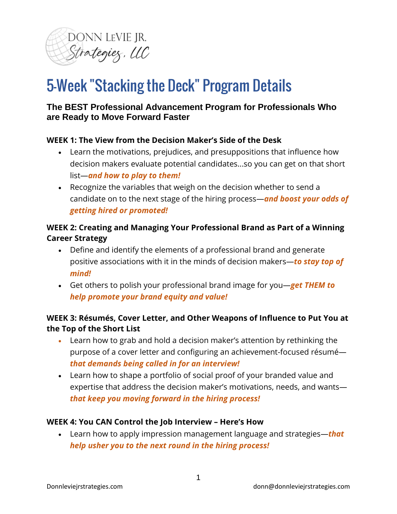

# 5-Week "Stacking the Deck" Program Details

# **The BEST Professional Advancement Program for Professionals Who are Ready to Move Forward Faster**

## **WEEK 1: The View from the Decision Maker's Side of the Desk**

- Learn the motivations, prejudices, and presuppositions that influence how decision makers evaluate potential candidates...so you can get on that short list—*and how to play to them!*
- Recognize the variables that weigh on the decision whether to send a candidate on to the next stage of the hiring process—*and boost your odds of getting hired or promoted!*

## **WEEK 2: Creating and Managing Your Professional Brand as Part of a Winning Career Strategy**

- Define and identify the elements of a professional brand and generate positive associations with it in the minds of decision makers—*to stay top of mind!*
- Get others to polish your professional brand image for you—*get THEM to help promote your brand equity and value!*

# **WEEK 3: Résumés, Cover Letter, and Other Weapons of Influence to Put You at the Top of the Short List**

- Learn how to grab and hold a decision maker's attention by rethinking the purpose of a cover letter and configuring an achievement-focused résumé *that demands being called in for an interview!*
- Learn how to shape a portfolio of social proof of your branded value and expertise that address the decision maker's motivations, needs, and wants *that keep you moving forward in the hiring process!*

#### **WEEK 4: You CAN Control the Job Interview – Here's How**

• Learn how to apply impression management language and strategies—*that help usher you to the next round in the hiring process!*